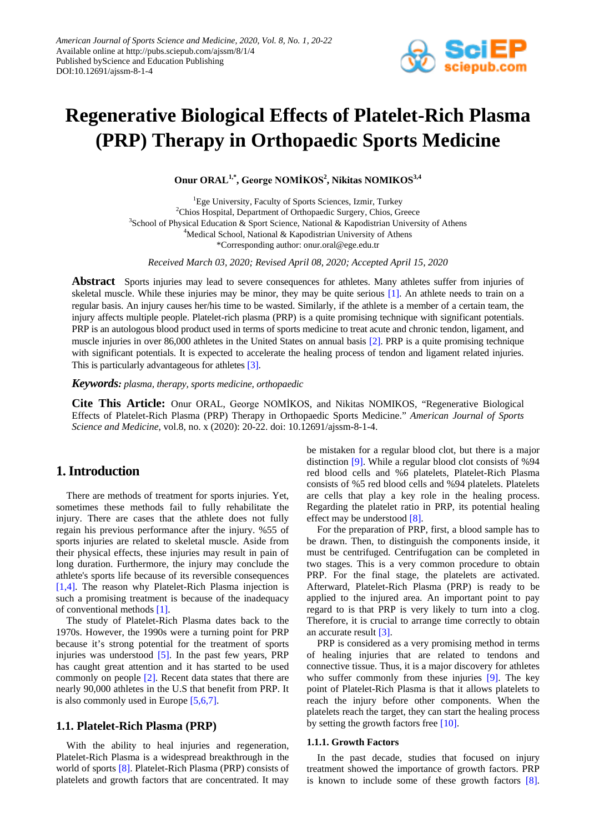

# **Regenerative Biological Effects of Platelet-Rich Plasma (PRP) Therapy in Orthopaedic Sports Medicine**

**Onur ORAL1,\*, George NOMİKOS<sup>2</sup> , Nikitas NOMIKOS3,4**

<sup>1</sup>Ege University, Faculty of Sports Sciences, Izmir, Turkey <sup>2</sup>Chios Hospital, Department of Orthopaedic Surgery, Chios, Greece <sup>3</sup>School of Physical Education & Sport Science, National & Kapodistrian University of Athens <sup>4</sup>Medical School, National & Kapodistrian University of Athens \*Corresponding author: onur.oral@ege.edu.tr

*Received March 03, 2020; Revised April 08, 2020; Accepted April 15, 2020*

**Abstract** Sports injuries may lead to severe consequences for athletes. Many athletes suffer from injuries of skeletal muscle. While these injuries may be minor, they may be quite serious [\[1\].](#page-1-0) An athlete needs to train on a regular basis. An injury causes her/his time to be wasted. Similarly, if the athlete is a member of a certain team, the injury affects multiple people. Platelet-rich plasma (PRP) is a quite promising technique with significant potentials. PRP is an autologous blood product used in terms of sports medicine to treat acute and chronic tendon, ligament, and muscle injuries in over 86,000 athletes in the United States on annual basis [\[2\].](#page-1-1) PRP is a quite promising technique with significant potentials. It is expected to accelerate the healing process of tendon and ligament related injuries. This is particularly advantageous for athletes [\[3\].](#page-1-2)

*Keywords: plasma, therapy, sports medicine, orthopaedic*

**Cite This Article:** Onur ORAL, George NOMİKOS, and Nikitas NOMIKOS, "Regenerative Biological Effects of Platelet-Rich Plasma (PRP) Therapy in Orthopaedic Sports Medicine." *American Journal of Sports Science and Medicine*, vol.8, no. x (2020): 20-22. doi: 10.12691/ajssm-8-1-4.

# **1. Introduction**

There are methods of treatment for sports injuries. Yet, sometimes these methods fail to fully rehabilitate the injury. There are cases that the athlete does not fully regain his previous performance after the injury. %55 of sports injuries are related to skeletal muscle. Aside from their physical effects, these injuries may result in pain of long duration. Furthermore, the injury may conclude the athlete's sports life because of its reversible consequences [\[1,4\].](#page-1-0) The reason why Platelet-Rich Plasma injection is such a promising treatment is because of the inadequacy of conventional methods [\[1\].](#page-1-0)

The study of Platelet-Rich Plasma dates back to the 1970s. However, the 1990s were a turning point for PRP because it's strong potential for the treatment of sports injuries was understood [\[5\].](#page-1-3) In the past few years, PRP has caught great attention and it has started to be used commonly on people [\[2\].](#page-1-1) Recent data states that there are nearly 90,000 athletes in the U.S that benefit from PRP. It is also commonly used in Europe [\[5,6,7\].](#page-1-3)

### **1.1. Platelet-Rich Plasma (PRP)**

With the ability to heal injuries and regeneration, Platelet-Rich Plasma is a widespread breakthrough in the world of sports [\[8\].](#page-1-4) Platelet-Rich Plasma (PRP) consists of platelets and growth factors that are concentrated. It may

be mistaken for a regular blood clot, but there is a major distinction [\[9\].](#page-1-5) While a regular blood clot consists of %94 red blood cells and %6 platelets, Platelet-Rich Plasma consists of %5 red blood cells and %94 platelets. Platelets are cells that play a key role in the healing process. Regarding the platelet ratio in PRP, its potential healing effect may be understood [\[8\].](#page-1-4)

For the preparation of PRP, first, a blood sample has to be drawn. Then, to distinguish the components inside, it must be centrifuged. Centrifugation can be completed in two stages. This is a very common procedure to obtain PRP. For the final stage, the platelets are activated. Afterward, Platelet-Rich Plasma (PRP) is ready to be applied to the injured area. An important point to pay regard to is that PRP is very likely to turn into a clog. Therefore, it is crucial to arrange time correctly to obtain an accurate resul[t \[3\].](#page-1-2)

PRP is considered as a very promising method in terms of healing injuries that are related to tendons and connective tissue. Thus, it is a major discovery for athletes who suffer commonly from these injuries [\[9\].](#page-1-5) The key point of Platelet-Rich Plasma is that it allows platelets to reach the injury before other components. When the platelets reach the target, they can start the healing process by setting the growth factors free [\[10\].](#page-1-6)

#### **1.1.1. Growth Factors**

In the past decade, studies that focused on injury treatment showed the importance of growth factors. PRP is known to include some of these growth factors [\[8\].](#page-1-4)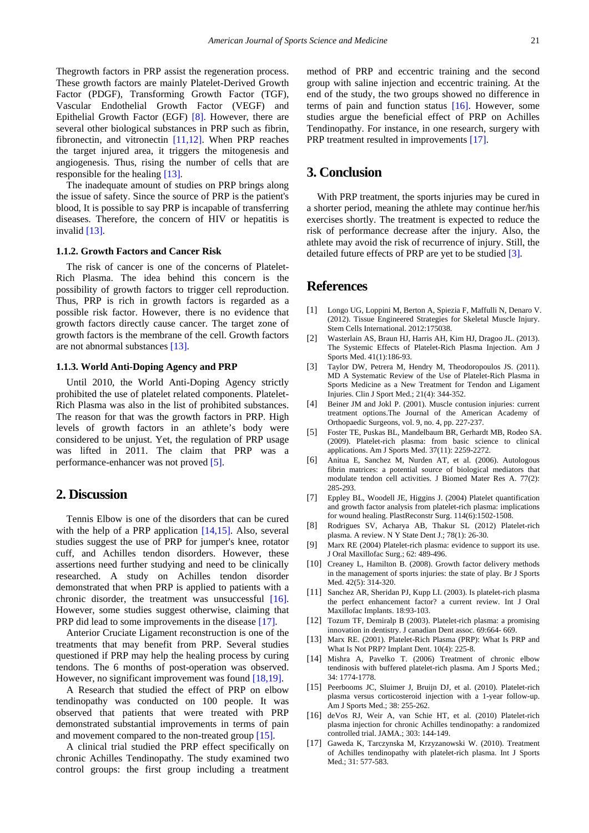Thegrowth factors in PRP assist the regeneration process. These growth factors are mainly Platelet-Derived Growth Factor (PDGF), Transforming Growth Factor (TGF), Vascular Endothelial Growth Factor (VEGF) and Epithelial Growth Factor (EGF) [\[8\].](#page-1-4) However, there are several other biological substances in PRP such as fibrin, fibronectin, and vitronectin [\[11,12\].](#page-1-7) When PRP reaches the target injured area, it triggers the mitogenesis and angiogenesis. Thus, rising the number of cells that are responsible for the healing [\[13\].](#page-1-8)

The inadequate amount of studies on PRP brings along the issue of safety. Since the source of PRP is the patient's blood, It is possible to say PRP is incapable of transferring diseases. Therefore, the concern of HIV or hepatitis is invalid [\[13\].](#page-1-8)

#### **1.1.2. Growth Factors and Cancer Risk**

The risk of cancer is one of the concerns of Platelet-Rich Plasma. The idea behind this concern is the possibility of growth factors to trigger cell reproduction. Thus, PRP is rich in growth factors is regarded as a possible risk factor. However, there is no evidence that growth factors directly cause cancer. The target zone of growth factors is the membrane of the cell. Growth factors are not abnormal substances [\[13\].](#page-1-8)

#### **1.1.3. World Anti-Doping Agency and PRP**

Until 2010, the World Anti-Doping Agency strictly prohibited the use of platelet related components. Platelet-Rich Plasma was also in the list of prohibited substances. The reason for that was the growth factors in PRP. High levels of growth factors in an athlete's body were considered to be unjust. Yet, the regulation of PRP usage was lifted in 2011. The claim that PRP was a performance-enhancer was not proved [\[5\].](#page-1-3)

## **2. Discussion**

Tennis Elbow is one of the disorders that can be cured with the help of a PRP application [\[14,15\].](#page-1-9) Also, several studies suggest the use of PRP for jumper's knee, rotator cuff, and Achilles tendon disorders. However, these assertions need further studying and need to be clinically researched. A study on Achilles tendon disorder demonstrated that when PRP is applied to patients with a chronic disorder, the treatment was unsuccessful [\[16\].](#page-1-10) However, some studies suggest otherwise, claiming that PRP did lead to some improvements in the disease [\[17\].](#page-1-11)

Anterior Cruciate Ligament reconstruction is one of the treatments that may benefit from PRP. Several studies questioned if PRP may help the healing process by curing tendons. The 6 months of post-operation was observed. However, no significant improvement was found [\[18,19\].](#page-2-0)

A Research that studied the effect of PRP on elbow tendinopathy was conducted on 100 people. It was observed that patients that were treated with PRP demonstrated substantial improvements in terms of pain and movement compared to the non-treated group [\[15\].](#page-1-12)

A clinical trial studied the PRP effect specifically on chronic Achilles Tendinopathy. The study examined two control groups: the first group including a treatment method of PRP and eccentric training and the second group with saline injection and eccentric training. At the end of the study, the two groups showed no difference in terms of pain and function status [\[16\].](#page-1-10) However, some studies argue the beneficial effect of PRP on Achilles Tendinopathy. For instance, in one research, surgery with PRP treatment resulted in improvements [\[17\].](#page-1-11)

## **3. Conclusion**

With PRP treatment, the sports injuries may be cured in a shorter period, meaning the athlete may continue her/his exercises shortly. The treatment is expected to reduce the risk of performance decrease after the injury. Also, the athlete may avoid the risk of recurrence of injury. Still, the detailed future effects of PRP are yet to be studied [\[3\].](#page-1-2)

## **References**

- <span id="page-1-0"></span>[1] Longo UG, Loppini M, Berton A, Spiezia F, Maffulli N, Denaro V. (2012). Tissue Engineered Strategies for Skeletal Muscle Injury. Stem Cells International. 2012:175038.
- <span id="page-1-1"></span>[2] Wasterlain AS, Braun HJ, Harris AH, Kim HJ, Dragoo JL. (2013). The Systemic Effects of Platelet-Rich Plasma Injection. Am J Sports Med. 41(1):186-93.
- <span id="page-1-2"></span>[3] Taylor DW, Petrera M, Hendry M, Theodoropoulos JS. (2011). MD A Systematic Review of the Use of Platelet-Rich Plasma in Sports Medicine as a New Treatment for Tendon and Ligament Injuries. Clin J Sport Med.; 21(4): 344-352.
- [4] Beiner JM and Jokl P. (2001). Muscle contusion injuries: current treatment options.The Journal of the American Academy of Orthopaedic Surgeons, vol. 9, no. 4, pp. 227-237.
- <span id="page-1-3"></span>[5] Foster TE, Puskas BL, Mandelbaum BR, Gerhardt MB, Rodeo SA. (2009). Platelet-rich plasma: from basic science to clinical applications. Am J Sports Med. 37(11): 2259-2272.
- [6] Anitua E, Sanchez M, Nurden AT, et al. (2006). Autologous fibrin matrices: a potential source of biological mediators that modulate tendon cell activities. J Biomed Mater Res A. 77(2): 285-293.
- [7] Eppley BL, Woodell JE, Higgins J. (2004) Platelet quantification and growth factor analysis from platelet-rich plasma: implications for wound healing. PlastReconstr Surg. 114(6):1502-1508.
- <span id="page-1-4"></span>[8] Rodrigues SV, Acharya AB, Thakur SL (2012) Platelet-rich plasma. A review. N Y State Dent J.; 78(1): 26-30.
- <span id="page-1-5"></span>[9] Marx RE (2004) Platelet-rich plasma: evidence to support its use. J Oral Maxillofac Surg.; 62: 489-496.
- <span id="page-1-6"></span>[10] Creaney L, Hamilton B, (2008). Growth factor delivery methods in the management of sports injuries: the state of play. Br J Sports Med. 42(5): 314-320.
- <span id="page-1-7"></span>[11] Sanchez AR, Sheridan PJ, Kupp LI. (2003). Is platelet-rich plasma the perfect enhancement factor? a current review. Int J Oral Maxillofac Implants. 18:93-103.
- [12] Tozum TF, Demiralp B (2003). Platelet-rich plasma: a promising innovation in dentistry. J canadian Dent assoc. 69:664- 669.
- <span id="page-1-8"></span>[13] Marx RE. (2001). Platelet-Rich Plasma (PRP): What Is PRP and What Is Not PRP? Implant Dent. 10(4): 225-8.
- <span id="page-1-9"></span>[14] Mishra A, Pavelko T. (2006) Treatment of chronic elbow tendinosis with buffered platelet-rich plasma. Am J Sports Med.; 34: 1774-1778.
- <span id="page-1-12"></span>[15] Peerbooms JC, Sluimer J, Bruijn DJ, et al. (2010). Platelet-rich plasma versus corticosteroid injection with a 1-year follow-up. Am J Sports Med.; 38: 255-262.
- <span id="page-1-10"></span>[16] deVos RJ, Weir A, van Schie HT, et al. (2010) Platelet-rich plasma injection for chronic Achilles tendinopathy: a randomized controlled trial. JAMA.; 303: 144-149.
- <span id="page-1-11"></span>[17] Gaweda K, Tarczynska M, Krzyzanowski W. (2010). Treatment of Achilles tendinopathy with platelet-rich plasma. Int J Sports Med.; 31: 577-583.